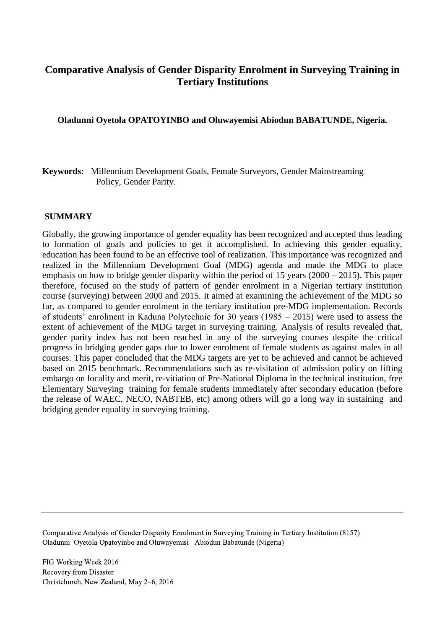# **Comparative Analysis of Gender Disparity Enrolment in Surveying Training in Tertiary Institutions**

**Oladunni Oyetola OPATOYINBO and Oluwayemisi Abiodun BABATUNDE, Nigeria.**

**Keywords:** Millennium Development Goals, Female Surveyors, Gender Mainstreaming Policy, Gender Parity.

### **SUMMARY**

Globally, the growing importance of gender equality has been recognized and accepted thus leading to formation of goals and policies to get it accomplished. In achieving this gender equality, education has been found to be an effective tool of realization. This importance was recognized and realized in the Millennium Development Goal (MDG) agenda and made the MDG to place emphasis on how to bridge gender disparity within the period of 15 years (2000 – 2015). This paper therefore, focused on the study of pattern of gender enrolment in a Nigerian tertiary institution course (surveying) between 2000 and 2015. It aimed at examining the achievement of the MDG so far, as compared to gender enrolment in the tertiary institution pre-MDG implementation. Records of students' enrolment in Kaduna Polytechnic for 30 years (1985 – 2015) were used to assess the extent of achievement of the MDG target in surveying training. Analysis of results revealed that, gender parity index has not been reached in any of the surveying courses despite the critical progress in bridging gender gaps due to lower enrolment of female students as against males in all courses. This paper concluded that the MDG targets are yet to be achieved and cannot be achieved based on 2015 benchmark. Recommendations such as re-visitation of admission policy on lifting embargo on locality and merit, re-vitiation of Pre-National Diploma in the technical institution, free Elementary Surveying training for female students immediately after secondary education (before the release of WAEC, NECO, NABTEB, etc) among others will go a long way in sustaining and bridging gender equality in surveying training.

Comparative Analysis of Gender Disparity Enrolment in Surveying Training in Tertiary Institution (8157) Oladunni Oyetola Opatoyinbo and Oluwayemisi Abiodun Babatunde (Nigeria)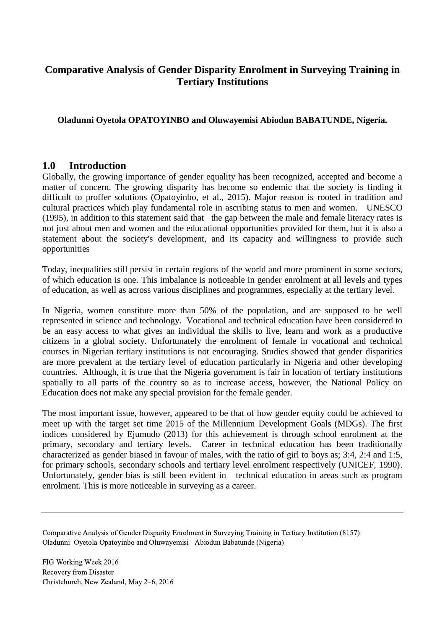# **Comparative Analysis of Gender Disparity Enrolment in Surveying Training in Tertiary Institutions**

## **Oladunni Oyetola OPATOYINBO and Oluwayemisi Abiodun BABATUNDE, Nigeria.**

## **1.0 Introduction**

Globally, the growing importance of gender equality has been recognized, accepted and become a matter of concern. The growing disparity has become so endemic that the society is finding it difficult to proffer solutions (Opatoyinbo, et al., 2015). Major reason is rooted in tradition and cultural practices which play fundamental role in ascribing status to men and women. UNESCO (1995), in addition to this statement said that the gap between the male and female literacy rates is not just about men and women and the educational opportunities provided for them, but it is also a statement about the society's development, and its capacity and willingness to provide such opportunities

Today, inequalities still persist in certain regions of the world and more prominent in some sectors, of which education is one. This imbalance is noticeable in gender enrolment at all levels and types of education, as well as across various disciplines and programmes, especially at the tertiary level.

In Nigeria, women constitute more than 50% of the population, and are supposed to be well represented in science and technology. Vocational and technical education have been considered to be an easy access to what gives an individual the skills to live, learn and work as a productive citizens in a global society. Unfortunately the enrolment of female in vocational and technical courses in Nigerian tertiary institutions is not encouraging. Studies showed that gender disparities are more prevalent at the tertiary level of education particularly in Nigeria and other developing countries. Although, it is true that the Nigeria government is fair in location of tertiary institutions spatially to all parts of the country so as to increase access, however, the National Policy on Education does not make any special provision for the female gender.

The most important issue, however, appeared to be that of how gender equity could be achieved to meet up with the target set time 2015 of the Millennium Development Goals (MDGs). The first indices considered by Ejumudo (2013) for this achievement is through school enrolment at the primary, secondary and tertiary levels. Career in technical education has been traditionally characterized as gender biased in favour of males, with the ratio of girl to boys as; 3:4, 2:4 and 1:5, for primary schools, secondary schools and tertiary level enrolment respectively (UNICEF, 1990). Unfortunately, gender bias is still been evident in technical education in areas such as program enrolment. This is more noticeable in surveying as a career.

Comparative Analysis of Gender Disparity Enrolment in Surveying Training in Tertiary Institution (8157) Oladunni Oyetola Opatoyinbo and Oluwayemisi Abiodun Babatunde (Nigeria)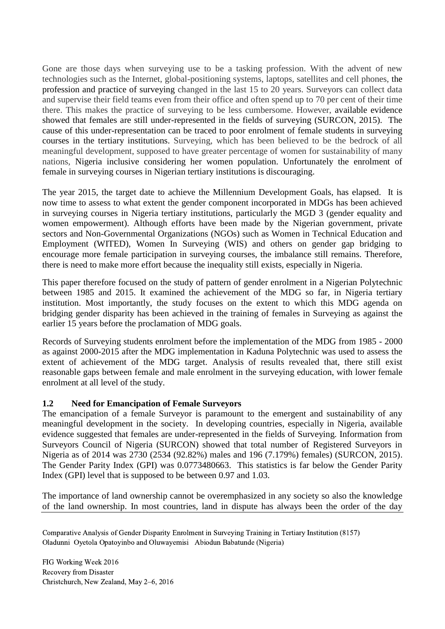Gone are those days when surveying use to be a tasking profession. With the advent of new technologies such as the Internet, global-positioning systems, laptops, satellites and cell phones, the profession and practice of surveying changed in the last 15 to 20 years. Surveyors can collect data and supervise their field teams even from their office and often spend up to 70 per cent of their time there. This makes the practice of surveying to be less cumbersome. However, available evidence showed that females are still under-represented in the fields of surveying (SURCON, 2015). The cause of this under-representation can be traced to poor enrolment of female students in surveying courses in the tertiary institutions. Surveying, which has been believed to be the bedrock of all meaningful development, supposed to have greater percentage of women for sustainability of many nations, Nigeria inclusive considering her women population. Unfortunately the enrolment of female in surveying courses in Nigerian tertiary institutions is discouraging.

The year 2015, the target date to achieve the Millennium Development Goals, has elapsed. It is now time to assess to what extent the gender component incorporated in MDGs has been achieved in surveying courses in Nigeria tertiary institutions, particularly the MGD 3 (gender equality and women empowerment). Although efforts have been made by the Nigerian government, private sectors and Non-Governmental Organizations (NGOs) such as Women in Technical Education and Employment (WITED), Women In Surveying (WIS) and others on gender gap bridging to encourage more female participation in surveying courses, the imbalance still remains. Therefore, there is need to make more effort because the inequality still exists, especially in Nigeria.

This paper therefore focused on the study of pattern of gender enrolment in a Nigerian Polytechnic between 1985 and 2015. It examined the achievement of the MDG so far, in Nigeria tertiary institution. Most importantly, the study focuses on the extent to which this MDG agenda on bridging gender disparity has been achieved in the training of females in Surveying as against the earlier 15 years before the proclamation of MDG goals.

Records of Surveying students enrolment before the implementation of the MDG from 1985 - 2000 as against 2000-2015 after the MDG implementation in Kaduna Polytechnic was used to assess the extent of achievement of the MDG target. Analysis of results revealed that, there still exist reasonable gaps between female and male enrolment in the surveying education, with lower female enrolment at all level of the study.

## **1.2 Need for Emancipation of Female Surveyors**

The emancipation of a female Surveyor is paramount to the emergent and sustainability of any meaningful development in the society. In developing countries, especially in Nigeria, available evidence suggested that females are under-represented in the fields of Surveying. Information from Surveyors Council of Nigeria (SURCON) showed that total number of Registered Surveyors in Nigeria as of 2014 was 2730 (2534 (92.82%) males and 196 (7.179%) females) (SURCON, 2015). The Gender Parity Index (GPI) was 0.0773480663. This statistics is far below the Gender Parity Index (GPI) level that is supposed to be between 0.97 and 1.03.

The importance of land ownership cannot be overemphasized in any society so also the knowledge of the land ownership. In most countries, land in dispute has always been the order of the day

Comparative Analysis of Gender Disparity Enrolment in Surveying Training in Tertiary Institution (8157) Oladunni Oyetola Opatoyinbo and Oluwayemisi Abiodun Babatunde (Nigeria)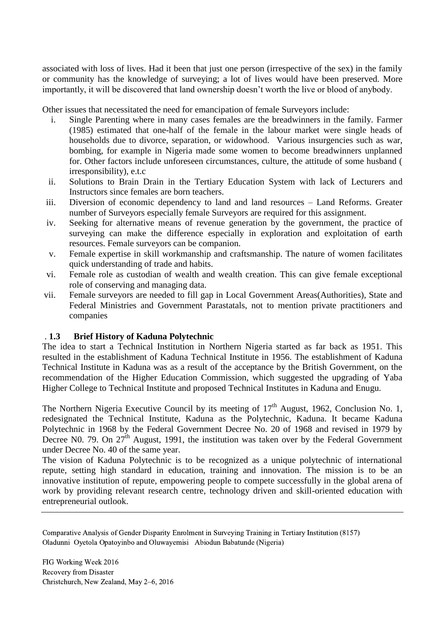associated with loss of lives. Had it been that just one person (irrespective of the sex) in the family or community has the knowledge of surveying; a lot of lives would have been preserved. More importantly, it will be discovered that land ownership doesn't worth the live or blood of anybody.

Other issues that necessitated the need for emancipation of female Surveyors include:

- i. Single Parenting where in many cases females are the breadwinners in the family. Farmer (1985) estimated that one-half of the female in the labour market were single heads of households due to divorce, separation, or widowhood. Various insurgencies such as war, bombing, for example in Nigeria made some women to become breadwinners unplanned for. Other factors include unforeseen circumstances, culture, the attitude of some husband ( irresponsibility), e.t.c
- ii. Solutions to Brain Drain in the Tertiary Education System with lack of Lecturers and Instructors since females are born teachers.
- iii. Diversion of economic dependency to land and land resources Land Reforms. Greater number of Surveyors especially female Surveyors are required for this assignment.
- iv. Seeking for alternative means of revenue generation by the government, the practice of surveying can make the difference especially in exploration and exploitation of earth resources. Female surveyors can be companion.
- v. Female expertise in skill workmanship and craftsmanship. The nature of women facilitates quick understanding of trade and habits.
- vi. Female role as custodian of wealth and wealth creation. This can give female exceptional role of conserving and managing data.
- vii. Female surveyors are needed to fill gap in Local Government Areas(Authorities), State and Federal Ministries and Government Parastatals, not to mention private practitioners and companies

## . **1.3 Brief History of Kaduna Polytechnic**

The idea to start a Technical Institution in Northern Nigeria started as far back as 1951. This resulted in the establishment of Kaduna Technical Institute in 1956. The establishment of Kaduna Technical Institute in Kaduna was as a result of the acceptance by the British Government, on the recommendation of the Higher Education Commission, which suggested the upgrading of Yaba Higher College to Technical Institute and proposed Technical Institutes in Kaduna and Enugu.

The Northern Nigeria Executive Council by its meeting of  $17<sup>th</sup>$  August, 1962, Conclusion No. 1, redesignated the Technical Institute, Kaduna as the Polytechnic, Kaduna. It became Kaduna Polytechnic in 1968 by the Federal Government Decree No. 20 of 1968 and revised in 1979 by Decree N0. 79. On  $27<sup>th</sup>$  August, 1991, the institution was taken over by the Federal Government under Decree No. 40 of the same year.

The vision of Kaduna Polytechnic is to be recognized as a unique polytechnic of international repute, setting high standard in education, training and innovation. The mission is to be an innovative institution of repute, empowering people to compete successfully in the global arena of work by providing relevant research centre, technology driven and skill-oriented education with entrepreneurial outlook.

Comparative Analysis of Gender Disparity Enrolment in Surveying Training in Tertiary Institution (8157) Oladunni Oyetola Opatoyinbo and Oluwayemisi Abiodun Babatunde (Nigeria)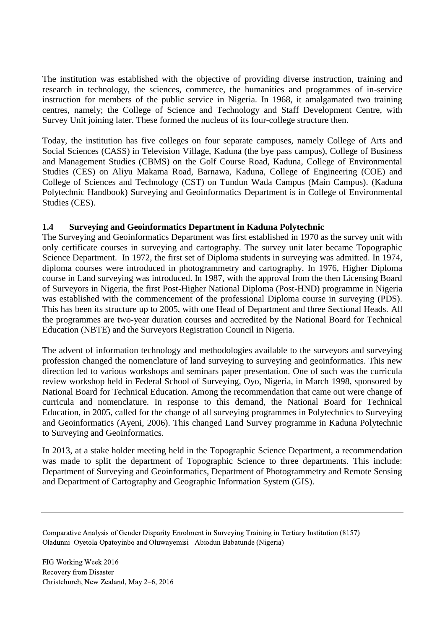The institution was established with the objective of providing diverse instruction, training and research in technology, the sciences, commerce, the humanities and programmes of in-service instruction for members of the public service in Nigeria. In 1968, it amalgamated two training centres, namely; the College of Science and Technology and Staff Development Centre, with Survey Unit joining later. These formed the nucleus of its four-college structure then.

Today, the institution has five colleges on four separate campuses, namely College of Arts and Social Sciences (CASS) in Television Village, Kaduna (the bye pass campus), College of Business and Management Studies (CBMS) on the Golf Course Road, Kaduna, College of Environmental Studies (CES) on Aliyu Makama Road, Barnawa, Kaduna, College of Engineering (COE) and College of Sciences and Technology (CST) on Tundun Wada Campus (Main Campus). (Kaduna Polytechnic Handbook) Surveying and Geoinformatics Department is in College of Environmental Studies (CES).

## **1.4 Surveying and Geoinformatics Department in Kaduna Polytechnic**

The Surveying and Geoinformatics Department was first established in 1970 as the survey unit with only certificate courses in surveying and cartography. The survey unit later became Topographic Science Department. In 1972, the first set of Diploma students in surveying was admitted. In 1974, diploma courses were introduced in photogrammetry and cartography. In 1976, Higher Diploma course in Land surveying was introduced. In 1987, with the approval from the then Licensing Board of Surveyors in Nigeria, the first Post-Higher National Diploma (Post-HND) programme in Nigeria was established with the commencement of the professional Diploma course in surveying (PDS). This has been its structure up to 2005, with one Head of Department and three Sectional Heads. All the programmes are two-year duration courses and accredited by the National Board for Technical Education (NBTE) and the Surveyors Registration Council in Nigeria.

The advent of information technology and methodologies available to the surveyors and surveying profession changed the nomenclature of land surveying to surveying and geoinformatics. This new direction led to various workshops and seminars paper presentation. One of such was the curricula review workshop held in Federal School of Surveying, Oyo, Nigeria, in March 1998, sponsored by National Board for Technical Education. Among the recommendation that came out were change of curricula and nomenclature. In response to this demand, the National Board for Technical Education, in 2005, called for the change of all surveying programmes in Polytechnics to Surveying and Geoinformatics (Ayeni, 2006). This changed Land Survey programme in Kaduna Polytechnic to Surveying and Geoinformatics.

In 2013, at a stake holder meeting held in the Topographic Science Department, a recommendation was made to split the department of Topographic Science to three departments. This include: Department of Surveying and Geoinformatics, Department of Photogrammetry and Remote Sensing and Department of Cartography and Geographic Information System (GIS).

Comparative Analysis of Gender Disparity Enrolment in Surveying Training in Tertiary Institution (8157) Oladunni Oyetola Opatoyinbo and Oluwayemisi Abiodun Babatunde (Nigeria)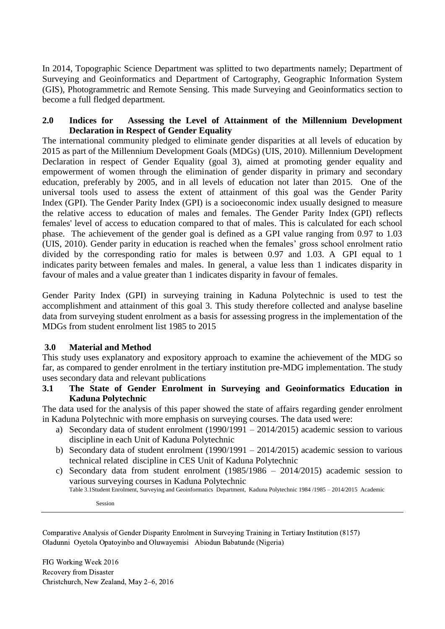In 2014, Topographic Science Department was splitted to two departments namely; Department of Surveying and Geoinformatics and Department of Cartography, Geographic Information System (GIS), Photogrammetric and Remote Sensing. This made Surveying and Geoinformatics section to become a full fledged department.

## **2.0 Indices for Assessing the Level of Attainment of the Millennium Development Declaration in Respect of Gender Equality**

The international community pledged to eliminate gender disparities at all levels of education by 2015 as part of the Millennium Development Goals (MDGs) (UIS, 2010). Millennium Development Declaration in respect of Gender Equality (goal 3), aimed at promoting gender equality and empowerment of women through the elimination of gender disparity in primary and secondary education, preferably by 2005, and in all levels of education not later than 2015. One of the universal tools used to assess the extent of attainment of this goal was the Gender Parity Index (GPI). The Gender Parity Index (GPI) is a socioeconomic index usually designed to measure the relative access to education of males and females. The Gender Parity Index (GPI) reflects females' level of access to education compared to that of males. This is calculated for each school phase. The achievement of the gender goal is defined as a GPI value ranging from 0.97 to 1.03 (UIS, 2010). Gender parity in education is reached when the females' gross school enrolment ratio divided by the corresponding ratio for males is between 0.97 and 1.03. A GPI equal to 1 indicates parity between females and males. In general, a value less than 1 indicates disparity in favour of males and a value greater than 1 indicates disparity in favour of females.

Gender Parity Index (GPI) in surveying training in Kaduna Polytechnic is used to test the accomplishment and attainment of this goal 3. This study therefore collected and analyse baseline data from surveying student enrolment as a basis for assessing progress in the implementation of the MDGs from student enrolment list 1985 to 2015

## **3.0 Material and Method**

This study uses explanatory and expository approach to examine the achievement of the MDG so far, as compared to gender enrolment in the tertiary institution pre-MDG implementation. The study uses secondary data and relevant publications

**3.1 The State of Gender Enrolment in Surveying and Geoinformatics Education in Kaduna Polytechnic**

The data used for the analysis of this paper showed the state of affairs regarding gender enrolment in Kaduna Polytechnic with more emphasis on surveying courses. The data used were:

- a) Secondary data of student enrolment (1990/1991 2014/2015) academic session to various discipline in each Unit of Kaduna Polytechnic
- b) Secondary data of student enrolment (1990/1991 2014/2015) academic session to various technical related discipline in CES Unit of Kaduna Polytechnic
- c) Secondary data from student enrolment (1985/1986 2014/2015) academic session to various surveying courses in Kaduna Polytechnic

Table 3.1Student Enrolment, Surveying and Geoinformatics Department, Kaduna Polytechnic 1984 /1985 – 2014/2015 Academic

Session

Comparative Analysis of Gender Disparity Enrolment in Surveying Training in Tertiary Institution (8157) Oladunni Oyetola Opatoyinbo and Oluwayemisi Abiodun Babatunde (Nigeria)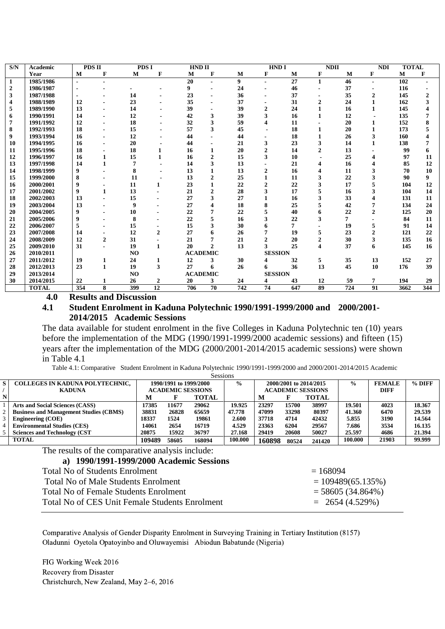| S/N              | Academic     | <b>PDS II</b>  |                | <b>PDSI</b>    |                  | <b>HND II</b>   |                 |                  | <b>HND I</b>   |                 | <b>NDII</b>             |     | <b>NDI</b>   | <b>TOTAL</b> |              |
|------------------|--------------|----------------|----------------|----------------|------------------|-----------------|-----------------|------------------|----------------|-----------------|-------------------------|-----|--------------|--------------|--------------|
|                  | Year         | M              | F              | M              | F                | M               | F               | M                | F              | M               | F                       | M   | F            | M            | F            |
| 1                | 1985/1986    | $\blacksquare$ |                |                |                  | 20              |                 | $\boldsymbol{9}$ |                | $\overline{27}$ | $\mathbf{1}$            | 46  |              | 102          |              |
| $\boldsymbol{2}$ | 1986/1987    | $\blacksquare$ |                |                |                  | 9               |                 | 24               |                | 46              |                         | 37  |              | 116          |              |
| 3                | 1987/1988    |                |                | 14             |                  | 23              |                 | 36               |                | 37              |                         | 35  | $\mathbf{2}$ | 145          | $\mathbf{2}$ |
| 4                | 1988/1989    | 12             |                | 23             |                  | 35              |                 | 37               |                | 31              | $\mathbf{2}$            | 24  |              | 162          | 3            |
| 5                | 1989/1990    | 13             |                | 14             |                  | 39              |                 | 39               | $\overline{2}$ | 24              |                         | 16  |              | 145          |              |
| 6                | 1990/1991    | 14             |                | 12             |                  | 42              | 3               | 39               | 3              | 16              | 1                       | 12  |              | 135          |              |
|                  | 1991/1992    | 12             |                | 18             |                  | 32              | 3               | 59               | 4              | 11              |                         | 20  |              | 152          | 8            |
| 8                | 1992/1993    | 18             |                | 15             |                  | 57              | 3               | 45               |                | 18              |                         | 20  |              | 173          |              |
| 9                | 1993/1994    | 16             |                | 12             |                  | 44              |                 | 44               |                | 18              |                         | 26  | 3            | 160          |              |
| 10               | 1994/1995    | 16             |                | 20             |                  | 44              |                 | 21               | 3              | 23              | 3                       | 14  |              | 138          |              |
| 11               | 1995/1996    | 18             |                | 18             | 1                | 16              | 1               | 20               | $\overline{2}$ | 14              | 2                       | 13  |              | 99           | 6            |
| 12               | 1996/1997    | 16             |                | 15             |                  | 16              | $\overline{2}$  | 15               | 3              | 10              |                         | 25  |              | 97           | 11           |
| 13               | 1997/1998    | 14             | 1              | 7              |                  | 14              | 3               | 13               |                | 21              |                         | 16  |              | 85           | 12           |
| 14               | 1998/1999    | 9              |                | 8              |                  | 13              |                 | 13               | $\mathbf{2}$   | 16              |                         | 11  |              | 70           | 10           |
| 15               | 1999/2000    | 8              |                | 11             |                  | 13              | $\overline{2}$  | 25               | 1              | 11              | 3                       | 22  |              | 90           | 9            |
| 16               | 2000/2001    | 9              |                | 11             | 1                | 23              | $\mathbf{1}$    | 22               | $\mathbf{2}$   | 22              | 3                       | 17  |              | 104          | 12           |
| 17               | 2001/2002    | 9              |                | 13             |                  | 21              | $\overline{2}$  | 28               | 3              | 17              |                         | 16  |              | 104          | 14           |
| 18               | 2002/2003    | 13             |                | 15             |                  | 27              | 3               | 27               |                | 16              |                         | 33  |              | 131          | 11           |
| 19               | 2003/2004    | 13             |                | 9              |                  | 27              |                 | 18               | 8              | 25              |                         | 42  |              | 134          | 24           |
| 20               | 2004/2005    | 9              |                | 10             |                  | 22              |                 | 22               |                | 40              | 6                       | 22  | $\mathbf{2}$ | 125          | 20           |
| 21               | 2005/2006    | 9              |                | 8              |                  | 22              |                 | 16               | 3              | 22              | 3                       | 7   |              | 84           | 11           |
| 22               | 2006/2007    | 5              |                | 15             |                  | 15              | 3               | 30               |                | 7               |                         | 19  |              | 91           | 14           |
| 23               | 2007/2008    | 14             |                | 12             | $\overline{2}$   | 27              | 6               | 26               | 7              | 19              | 5                       | 23  | $\mathbf{2}$ | 121          | 22           |
| 24               | 2008/2009    | 12             | $\overline{2}$ | 31             |                  | 21              | 7               | 21               | $\mathbf{2}$   | 20              | 2                       | 30  | 3            | 135          | 16           |
| 25               | 2009/2010    | 31             |                | 19             | 1                | 20              | $\mathbf{2}$    | 13               | 3              | 25              | $\overline{\mathbf{4}}$ | 37  | 6            | 145          | 16           |
| 26               | 2010/2011    |                |                | N <sub>O</sub> |                  | <b>ACADEMIC</b> |                 |                  | <b>SESSION</b> |                 |                         |     |              |              |              |
| 27               | 2011/2012    | 19             | 1              | 24             | 1                | 12              | 3               | 30               |                | 32              | 5                       | 35  | 13           | 152          | 27           |
| 28               | 2012/2013    | 23             | 1              | 19             | 3                | 27              | 6               | 26               | 6              | 36              | 13                      | 45  | 10           | 176          | 39           |
| 29               | 2013/2014    |                |                | NO             |                  | <b>ACADEMIC</b> |                 |                  | <b>SESSION</b> |                 |                         |     |              |              |              |
| 30               | 2014/2015    | 22             |                | 26             | $\boldsymbol{2}$ | 20              | 3               | 24               | 4              | 43              | 12                      | 59  | 7            | 194          | 29           |
|                  | <b>TOTAL</b> | 354            | 8              | 399            | $\overline{12}$  | 706             | $\overline{70}$ | $\overline{742}$ | 74             | 647             | $\overline{89}$         | 724 | 91           | 3662         | 344          |

**4.0 Results and Discussion**

#### **4.1 Student Enrolment in Kaduna Polytechnic 1990/1991-1999/2000 and 2000/2001- 2014/2015 Academic Sessions**

The data available for student enrolment in the five Colleges in Kaduna Polytechnic ten (10) years before the implementation of the MDG (1990/1991-1999/2000 academic sessions) and fifteen (15) years after the implementation of the MDG (2000/2001-2014/2015 academic sessions) were shown in Table 4.1

Table 4.1: Comparative Student Enrolment in Kaduna Polytechnic 1990/1991-1999/2000 and 2000/2001-2014/2015 Academic

|    | <b>Sessions</b>                               |        |                          |              |                |                        |       |                          |               |               |          |  |
|----|-----------------------------------------------|--------|--------------------------|--------------|----------------|------------------------|-------|--------------------------|---------------|---------------|----------|--|
| S. | <b>COLLEGES IN KADUNA POLYTECHNIC,</b>        |        | 1990/1991 to 1999/2000   |              | $\frac{6}{10}$ | 2000/2001 to 2014/2015 |       |                          | $\frac{0}{0}$ | <b>FEMALE</b> | $%$ DIFF |  |
|    | <b>KADUNA</b>                                 |        | <b>ACADEMIC SESSIONS</b> |              |                |                        |       | <b>ACADEMIC SESSIONS</b> |               | DIFF          |          |  |
|    |                                               | M      |                          | <b>TOTAL</b> |                | M                      |       | <b>TOTAL</b>             |               |               |          |  |
|    | Arts and Social Sciences (CASS)               | 17385  | 11677                    | 29062        | 19.925         | 23297                  | 15700 | 38997                    | 19.501        | 4023          | 18.367   |  |
|    | <b>Business and Management Studies (CBMS)</b> | 38831  | 26828                    | 65659        | 47.778         | 47099                  | 33298 | 80397                    | 41.360        | 6470          | 29.539   |  |
|    | <b>Engineering (COE)</b>                      | 18337  | 1524                     | 19861        | <b>2.600</b>   | 37718                  | 4714  | 42432                    | 5.855         | 3190          | 14.564   |  |
|    | <b>Environmental Studies (CES)</b>            | 14061  | 2654                     | 16719        | 4.529          | 23363                  | 6204  | 29567                    | 7.686         | 3534          | 16.135   |  |
|    | <b>Sciences and Technology (CST)</b>          | 20875  | 15922                    | 36797        | 27.168         | 29419                  | 20608 | 50027                    | 25.597        | 4686          | 21.394   |  |
|    | <b>TOTAL</b>                                  | 109489 | 58605                    | 168094       | 100.000        | 160898                 | 80524 | 241420                   | 100.000       | 21903         | 99.999   |  |

The results of the comparative analysis include:

#### **a) 1990/1991-1999/2000 Academic Sessions**

| Total No of Students Enrolment                 | $= 168094$          |
|------------------------------------------------|---------------------|
| Total No of Male Students Enrolment            | $= 109489(65.135%)$ |
| <b>Total No of Female Students Enrolment</b>   | $= 58605(34.864\%)$ |
| Total No of CES Unit Female Students Enrolment | $= 2654(4.529%)$    |
|                                                |                     |

Comparative Analysis of Gender Disparity Enrolment in Surveying Training in Tertiary Institution (8157) Oladunni Oyetola Opatoyinbo and Oluwayemisi Abiodun Babatunde (Nigeria)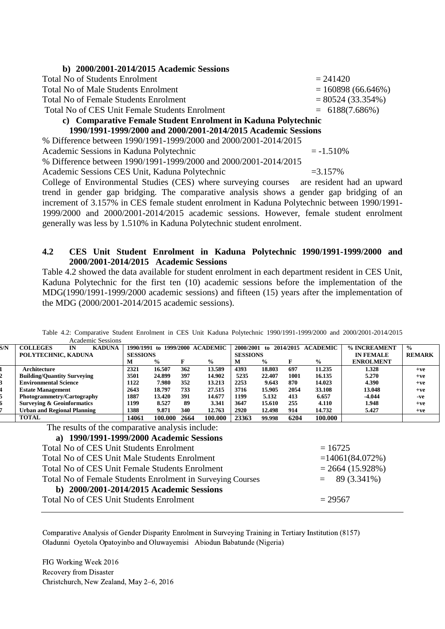| b) 2000/2001-2014/2015 Academic Sessions                         |                      |  |  |  |  |  |  |
|------------------------------------------------------------------|----------------------|--|--|--|--|--|--|
| <b>Total No of Students Enrolment</b>                            | $= 241420$           |  |  |  |  |  |  |
| <b>Total No of Male Students Enrolment</b>                       | $= 160898(66.646%)$  |  |  |  |  |  |  |
| <b>Total No of Female Students Enrolment</b>                     | $= 80524 (33.354\%)$ |  |  |  |  |  |  |
| Total No of CES Unit Female Students Enrolment                   | $= 6188(7.686%)$     |  |  |  |  |  |  |
| c) Comparative Female Student Enrolment in Kaduna Polytechnic    |                      |  |  |  |  |  |  |
| 1990/1991-1999/2000 and 2000/2001-2014/2015 Academic Sessions    |                      |  |  |  |  |  |  |
| % Difference between 1990/1991-1999/2000 and 2000/2001-2014/2015 |                      |  |  |  |  |  |  |
| Academic Sessions in Kaduna Polytechnic                          | $= -1.510\%$         |  |  |  |  |  |  |
| % Difference between 1990/1991-1999/2000 and 2000/2001-2014/2015 |                      |  |  |  |  |  |  |
| Academic Sessions CES Unit, Kaduna Polytechnic                   | $=3.157\%$           |  |  |  |  |  |  |
|                                                                  |                      |  |  |  |  |  |  |

College of Environmental Studies (CES) where surveying courses are resident had an upward trend in gender gap bridging. The comparative analysis shows a gender gap bridging of an increment of 3.157% in CES female student enrolment in Kaduna Polytechnic between 1990/1991- 1999/2000 and 2000/2001-2014/2015 academic sessions. However, female student enrolment generally was less by 1.510% in Kaduna Polytechnic student enrolment.

### **4.2 CES Unit Student Enrolment in Kaduna Polytechnic 1990/1991-1999/2000 and 2000/2001-2014/2015 Academic Sessions**

Table 4.2 showed the data available for student enrolment in each department resident in CES Unit, Kaduna Polytechnic for the first ten (10) academic sessions before the implementation of the MDG(1990/1991-1999/2000 academic sessions) and fifteen (15) years after the implementation of the MDG (2000/2001-2014/2015 academic sessions).

|                                                             | леацение дезмонз                                                          |                 |               |      |                                 |                 |               |      |                    |                   |               |
|-------------------------------------------------------------|---------------------------------------------------------------------------|-----------------|---------------|------|---------------------------------|-----------------|---------------|------|--------------------|-------------------|---------------|
| $\sqrt{N}$                                                  | <b>COLLEGES</b><br><b>KADUNA</b><br>IN                                    |                 |               |      | 1990/1991 to 1999/2000 ACADEMIC | 2000/2001       | to            |      | 2014/2015 ACADEMIC | % INCREAMENT      | $\frac{0}{0}$ |
|                                                             | POLYTECHNIC, KADUNA                                                       | <b>SESSIONS</b> |               |      |                                 | <b>SESSIONS</b> |               |      |                    | <b>IN FEMALE</b>  | <b>REMARK</b> |
|                                                             |                                                                           | M               | $\frac{0}{0}$ | F    | $\frac{0}{0}$                   | M               | $\frac{0}{0}$ | F    | $\frac{0}{0}$      | <b>ENROLMENT</b>  |               |
|                                                             | Architecture                                                              | 2321            | 16.507        | 362  | 13.589                          | 4393            | 18.803        | 697  | 11.235             | 1.328             | $+ve$         |
|                                                             | <b>Building/Quantity Surveying</b>                                        | 3501            | 24.899        | 397  | 14.902                          | 5235            | 22.407        | 1001 | 16.135             | 5.270             | $+ve$         |
|                                                             | <b>Environmental Science</b>                                              | 1122            | 7.980         | 352  | 13.213                          | 2253            | 9.643         | 870  | 14.023             | 4.390             | $+ve$         |
|                                                             | <b>Estate Management</b>                                                  | 2643            | 18.797        | 733  | 27.515                          | 3716            | 15.905        | 2054 | 33.108             | 13.048            | $+ve$         |
|                                                             | Photogrammetry/Cartography                                                | 1887            | 13.420        | 391  | 14.677                          | 1199            | 5.132         | 413  | 6.657              | $-4.044$          | -ve           |
|                                                             | <b>Surveying &amp; Geoinformatics</b>                                     | 1199            | 8.527         | 89   | 3.341                           | 3647            | 15.610        | 255  | 4.110              | 1.948             | $+ve$         |
|                                                             | <b>Urban and Regional Planning</b>                                        | 1388            | 9.871         | 340  | 12.763                          | <b>2920</b>     | 12.498        | 914  | 14.732             | 5.427             | $+ve$         |
|                                                             | <b>TOTAL</b>                                                              | 14061           | 100.000       | 2664 | 100.000                         | 23363           | 99.998        | 6204 | 100.000            |                   |               |
|                                                             | The results of the comparative analysis include:                          |                 |               |      |                                 |                 |               |      |                    |                   |               |
|                                                             | a) 1990/1991-1999/2000 Academic Sessions                                  |                 |               |      |                                 |                 |               |      |                    |                   |               |
|                                                             | <b>Total No of CES Unit Students Enrolment</b>                            |                 |               |      |                                 |                 |               |      | $= 16725$          |                   |               |
|                                                             | Total No of CES Unit Male Students Enrolment                              |                 |               |      |                                 |                 |               |      |                    | $=14061(84.072%)$ |               |
|                                                             | Total No of CES Unit Female Students Enrolment                            |                 |               |      |                                 |                 |               |      |                    | $= 2664(15.928%)$ |               |
|                                                             | Total No of Female Students Enrolment in Surveying Courses<br>89 (3.341%) |                 |               |      |                                 |                 |               |      |                    |                   |               |
|                                                             | b) 2000/2001-2014/2015 Academic Sessions                                  |                 |               |      |                                 |                 |               |      |                    |                   |               |
| <b>Total No of CES Unit Students Enrolment</b><br>$= 29567$ |                                                                           |                 |               |      |                                 |                 |               |      |                    |                   |               |

Table 4.2: Comparative Student Enrolment in CES Unit Kaduna Polytechnic 1990/1991-1999/2000 and 2000/2001-2014/2015 **Academic Session** 

Comparative Analysis of Gender Disparity Enrolment in Surveying Training in Tertiary Institution (8157) Oladunni Oyetola Opatoyinbo and Oluwayemisi Abiodun Babatunde (Nigeria)

FIG Working Week 2016 Recovery from Disaster Christchurch, New Zealand, May 2–6, 2016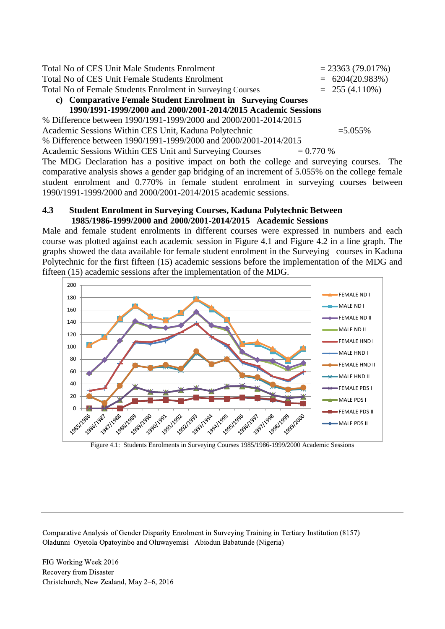| Total No of CES Unit Male Students Enrolment                                             |  | $= 23363(79.017%)$ |  |  |  |  |  |
|------------------------------------------------------------------------------------------|--|--------------------|--|--|--|--|--|
| Total No of CES Unit Female Students Enrolment                                           |  | $= 6204(20.983%)$  |  |  |  |  |  |
| Total No of Female Students Enrolment in Surveying Courses                               |  | $= 255(4.110\%)$   |  |  |  |  |  |
| c) Comparative Female Student Enrolment in Surveying Courses                             |  |                    |  |  |  |  |  |
| 1990/1991-1999/2000 and 2000/2001-2014/2015 Academic Sessions                            |  |                    |  |  |  |  |  |
| % Difference between 1990/1991-1999/2000 and 2000/2001-2014/2015                         |  |                    |  |  |  |  |  |
| Academic Sessions Within CES Unit, Kaduna Polytechnic                                    |  | $=5.055\%$         |  |  |  |  |  |
| % Difference between 1990/1991-1999/2000 and 2000/2001-2014/2015                         |  |                    |  |  |  |  |  |
| Academic Sessions Within CES Unit and Surveying Courses<br>$= 0.770 %$                   |  |                    |  |  |  |  |  |
| The MDC Decleration has a positive impact on both the collage and sympating courses. The |  |                    |  |  |  |  |  |

The MDG Declaration has a positive impact on both the college and surveying courses. The comparative analysis shows a gender gap bridging of an increment of 5.055% on the college female student enrolment and 0.770% in female student enrolment in surveying courses between 1990/1991-1999/2000 and 2000/2001-2014/2015 academic sessions.

#### **4.3 Student Enrolment in Surveying Courses, Kaduna Polytechnic Between 1985/1986-1999/2000 and 2000/2001-2014/2015 Academic Sessions**

Male and female student enrolments in different courses were expressed in numbers and each course was plotted against each academic session in Figure 4.1 and Figure 4.2 in a line graph. The graphs showed the data available for female student enrolment in the Surveying courses in Kaduna Polytechnic for the first fifteen (15) academic sessions before the implementation of the MDG and fifteen (15) academic sessions after the implementation of the MDG.



Figure 4.1: Students Enrolments in Surveying Courses 1985/1986-1999/2000 Academic Sessions

Comparative Analysis of Gender Disparity Enrolment in Surveying Training in Tertiary Institution (8157) Oladunni Oyetola Opatoyinbo and Oluwayemisi Abiodun Babatunde (Nigeria)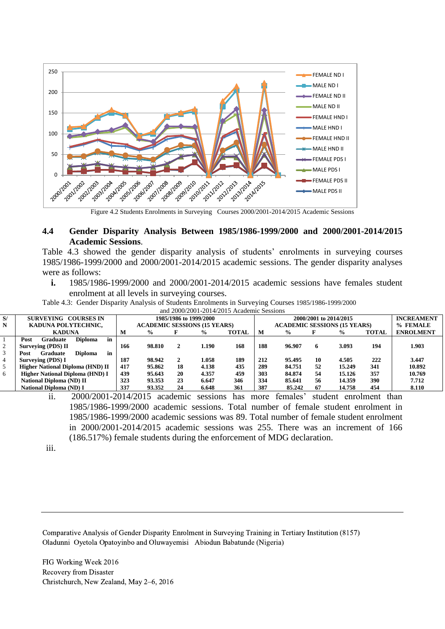

Figure 4.2 Students Enrolments in Surveying Courses 2000/2001-2014/2015 Academic Sessions

### **4.4 Gender Disparity Analysis Between 1985/1986-1999/2000 and 2000/2001-2014/2015 Academic Sessions**.

Table 4.3 showed the gender disparity analysis of students' enrolments in surveying courses 1985/1986-1999/2000 and 2000/2001-2014/2015 academic sessions. The gender disparity analyses were as follows:

**i.** 1985/1986-1999/2000 and 2000/2001-2014/2015 academic sessions have females student enrolment at all levels in surveying courses.

Table 4.3: Gender Disparity Analysis of Students Enrolments in Surveying Courses 1985/1986-1999/2000 and 2000/2001-2014/2015 Academic Sessions

| S/             | SURVEYING COURSES IN                            |     |               |    | 1985/1986 to 1999/2000              |              |     |                                     |    | 2000/2001 to 2014/2015 |              | <b>INCREAMENT</b> |
|----------------|-------------------------------------------------|-----|---------------|----|-------------------------------------|--------------|-----|-------------------------------------|----|------------------------|--------------|-------------------|
| N              | KADUNA POLYTECHNIC,                             |     |               |    | <b>ACADEMIC SESSIONS (15 YEARS)</b> |              |     | <b>ACADEMIC SESSIONS (15 YEARS)</b> |    |                        |              | % FEMALE          |
|                | <b>KADUNA</b>                                   | M   | $\frac{6}{9}$ |    | $\frac{0}{0}$                       | <b>TOTAL</b> | M   | $\frac{0}{0}$                       |    | $\frac{6}{9}$          | <b>TOTAL</b> | <b>ENROLMENT</b>  |
|                | in<br><b>Diploma</b><br>Graduate<br>Post        |     |               |    |                                     |              |     |                                     |    |                        |              |                   |
| 2              | Surveying (PDS) II                              | 166 | 98.810        | 2  | l.190                               | 168          | 188 | 96.907                              | 6  | 3.093                  | 194          | 1.903             |
| 3              | in<br><b>Diploma</b><br>Post<br><b>Graduate</b> |     |               |    |                                     |              |     |                                     |    |                        |              |                   |
| $\overline{4}$ | Surveying (PDS) I                               | 187 | 98.942        | 2  | 1.058                               | 189          | 212 | 95.495                              | 10 | 4.505                  | 222          | 3.447             |
| 5              | <b>Higher National Diploma (HND) II</b>         | 417 | 95.862        | 18 | 4.138                               | 435          | 289 | 84.751                              | 52 | 15.249                 | 341          | 10.892            |
| 6              | Higher National Diploma (HND) I                 | 439 | 95.643        | 20 | 4.357                               | 459          | 303 | 84.874                              | 54 | 15.126                 | 357          | 10.769            |
|                | <b>National Diploma (ND) II</b>                 | 323 | 93.353        | 23 | 6.647                               | 346          | 334 | 85.641                              | 56 | 14.359                 | 390          | 7.712             |
|                | <b>National Diploma (ND) I</b>                  | 337 | 93.352        | 24 | 6.648                               | 361          | 387 | 85,242                              | 67 | 14.758                 | 454          | 8.110             |

ii. 2000/2001-2014/2015 academic sessions has more females' student enrolment than 1985/1986-1999/2000 academic sessions. Total number of female student enrolment in 1985/1986-1999/2000 academic sessions was 89. Total number of female student enrolment in 2000/2001-2014/2015 academic sessions was 255. There was an increment of 166 (186.517%) female students during the enforcement of MDG declaration.

iii.

Comparative Analysis of Gender Disparity Enrolment in Surveying Training in Tertiary Institution (8157) Oladunni Oyetola Opatoyinbo and Oluwayemisi Abiodun Babatunde (Nigeria)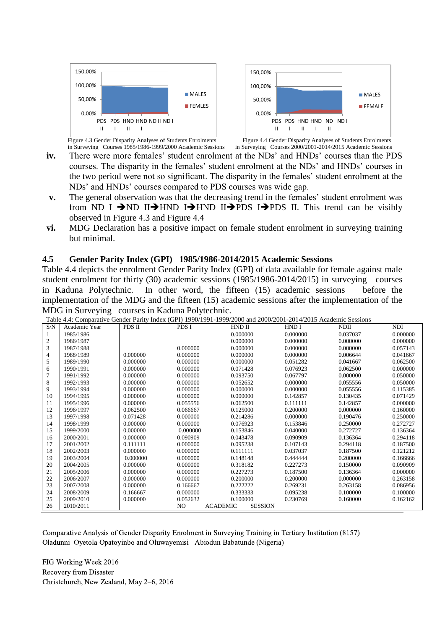



Figure 4.3 Gender Disparity Analyses of Students Enrolments<br>in Surveying Courses 1985/1986-1999/2000 Academic Sessions in Surveying Courses 2000/2001-2014/2015 Academic Sessions in Surveying Courses 1985/1986-1999/2000 Academic Sessions

- **iv.** There were more females' student enrolment at the NDs' and HNDs' courses than the PDS courses. The disparity in the females' student enrolment at the NDs' and HNDs' courses in the two period were not so significant. The disparity in the females' student enrolment at the NDs' and HNDs' courses compared to PDS courses was wide gap.
- **v.** The general observation was that the decreasing trend in the females' student enrolment was from ND I  $\rightarrow$ ND II $\rightarrow$ HND I $\rightarrow$ HND II $\rightarrow$ PDS I $\rightarrow$ PDS II. This trend can be visibly observed in Figure 4.3 and Figure 4.4
- **vi.** MDG Declaration has a positive impact on female student enrolment in surveying training but minimal.

### **4.5 Gender Parity Index (GPI) 1985/1986-2014/2015 Academic Sessions**

Table 4.4 depicts the enrolment Gender Parity Index (GPI) of data available for female against male student enrolment for thirty (30) academic sessions (1985/1986-2014/2015) in surveying courses in Kaduna Polytechnic. In other word, the fifteen (15) academic sessions before the implementation of the MDG and the fifteen (15) academic sessions after the implementation of the MDG in Surveying courses in Kaduna Polytechnic.

| S/N | 10.000 nm companiers concert mn, moen (crip 1996/1991 1999/1000 and 2000/1<br>Academic Year | PDS II   | PDS I    | HND II          | HND I          | <b>NDII</b> | <b>NDI</b> |
|-----|---------------------------------------------------------------------------------------------|----------|----------|-----------------|----------------|-------------|------------|
|     | 1985/1986                                                                                   |          |          | 0.000000        | 0.000000       | 0.037037    | 0.000000   |
| 2   | 1986/1987                                                                                   |          |          | 0.000000        | 0.000000       | 0.000000    | 0.000000   |
| 3   | 1987/1988                                                                                   |          | 0.000000 | 0.000000        | 0.000000       | 0.000000    | 0.057143   |
| 4   | 1988/1989                                                                                   | 0.000000 | 0.000000 | 0.000000        | 0.000000       | 0.006644    | 0.041667   |
| 5   | 1989/1990                                                                                   | 0.000000 | 0.000000 | 0.000000        | 0.051282       | 0.041667    | 0.062500   |
| 6   | 1990/1991                                                                                   | 0.000000 | 0.000000 | 0.071428        | 0.076923       | 0.062500    | 0.000000   |
|     | 1991/1992                                                                                   | 0.000000 | 0.000000 | 0.093750        | 0.067797       | 0.000000    | 0.050000   |
| 8   | 1992/1993                                                                                   | 0.000000 | 0.000000 | 0.052652        | 0.000000       | 0.055556    | 0.050000   |
| 9   | 1993/1994                                                                                   | 0.000000 | 0.000000 | 0.000000        | 0.000000       | 0.055556    | 0.115385   |
| 10  | 1994/1995                                                                                   | 0.000000 | 0.000000 | 0.000000        | 0.142857       | 0.130435    | 0.071429   |
| 11  | 1995/1996                                                                                   | 0.000000 | 0.055556 | 0.062500        | 0.111111       | 0.142857    | 0.000000   |
| 12  | 1996/1997                                                                                   | 0.062500 | 0.066667 | 0.125000        | 0.200000       | 0.000000    | 0.160000   |
| 13  | 1997/1998                                                                                   | 0.071428 | 0.000000 | 0.214286        | 0.000000       | 0.190476    | 0.250000   |
| 14  | 1998/1999                                                                                   | 0.000000 | 0.000000 | 0.076923        | 0.153846       | 0.250000    | 0.272727   |
| 15  | 1999/2000                                                                                   | 0.000000 | 0.000000 | 0.153846        | 0.040000       | 0.272727    | 0.136364   |
| 16  | 2000/2001                                                                                   | 0.000000 | 0.090909 | 0.043478        | 0.090909       | 0.136364    | 0.294118   |
| 17  | 2001/2002                                                                                   | 0.111111 | 0.000000 | 0.095238        | 0.107143       | 0.294118    | 0.187500   |
| 18  | 2002/2003                                                                                   | 0.000000 | 0.000000 | 0.111111        | 0.037037       | 0.187500    | 0.121212   |
| 19  | 2003/2004                                                                                   | 0.000000 | 0.000000 | 0.148148        | 0.444444       | 0.200000    | 0.166666   |
| 20  | 2004/2005                                                                                   | 0.000000 | 0.000000 | 0.318182        | 0.227273       | 0.150000    | 0.090909   |
| 21  | 2005/2006                                                                                   | 0.000000 | 0.000000 | 0.227273        | 0.187500       | 0.136364    | 0.000000   |
| 22  | 2006/2007                                                                                   | 0.000000 | 0.000000 | 0.200000        | 0.200000       | 0.000000    | 0.263158   |
| 23  | 2007/2008                                                                                   | 0.000000 | 0.166667 | 0.222222        | 0.269231       | 0.263158    | 0.086956   |
| 24  | 2008/2009                                                                                   | 0.166667 | 0.000000 | 0.333333        | 0.095238       | 0.100000    | 0.100000   |
| 25  | 2009/2010                                                                                   | 0.000000 | 0.052632 | 0.100000        | 0.230769       | 0.160000    | 0.162162   |
| 26  | 2010/2011                                                                                   |          | NO.      | <b>ACADEMIC</b> | <b>SESSION</b> |             |            |

Table 4.4: Comparative Gender Parity Index (GPI) 1990/1991-1999/2000 and 2000/2001-2014/2015 Academic Sessions

Comparative Analysis of Gender Disparity Enrolment in Surveying Training in Tertiary Institution (8157) Oladunni Oyetola Opatoyinbo and Oluwayemisi Abiodun Babatunde (Nigeria)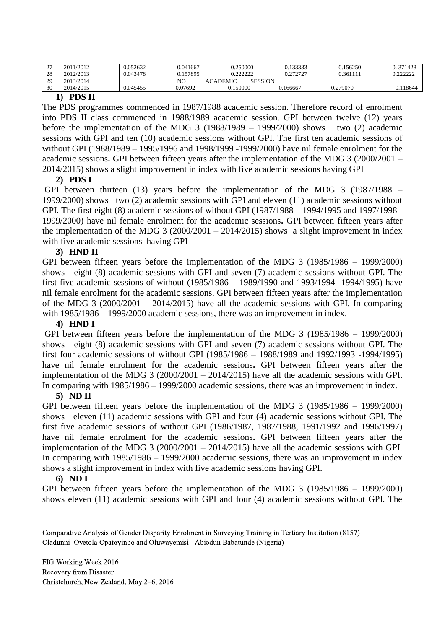| $\sim$<br><u>.</u> | 2011/2012 | 0.052632 | 0.041667 | 0.250000                   | 0.133333 | 0.156250 | 0.371428 |
|--------------------|-----------|----------|----------|----------------------------|----------|----------|----------|
| 28                 | 2012/2013 | 0.043478 | 0.157895 | רררר ו                     | 0.272727 | 0.361111 | 0.222222 |
| 29                 | 2013/2014 |          | NO       | SESSION<br><b>ACADEMIC</b> |          |          |          |
| 30                 | 2014/2015 | 0.045455 | 0.07692  | 0.150000                   | 0.166667 | 0.279070 | 0.118644 |

#### **1) PDS II**

The PDS programmes commenced in 1987/1988 academic session. Therefore record of enrolment into PDS II class commenced in 1988/1989 academic session. GPI between twelve (12) years before the implementation of the MDG 3 (1988/1989 – 1999/2000) shows two  $(2)$  academic sessions with GPI and ten (10) academic sessions without GPI. The first ten academic sessions of without GPI (1988/1989 – 1995/1996 and 1998/1999 -1999/2000) have nil female enrolment for the academic sessions**.** GPI between fifteen years after the implementation of the MDG 3 (2000/2001 – 2014/2015) shows a slight improvement in index with five academic sessions having GPI

### **2) PDS I**

GPI between thirteen (13) years before the implementation of the MDG 3 (1987/1988 – 1999/2000) shows two (2) academic sessions with GPI and eleven (11) academic sessions without GPI. The first eight (8) academic sessions of without GPI (1987/1988 – 1994/1995 and 1997/1998 - 1999/2000) have nil female enrolment for the academic sessions**.** GPI between fifteen years after the implementation of the MDG  $3(2000/2001 - 2014/2015)$  shows a slight improvement in index with five academic sessions having GPI

### **3) HND II**

GPI between fifteen years before the implementation of the MDG 3 (1985/1986 – 1999/2000) shows eight (8) academic sessions with GPI and seven (7) academic sessions without GPI. The first five academic sessions of without (1985/1986 – 1989/1990 and 1993/1994 -1994/1995) have nil female enrolment for the academic sessions. GPI between fifteen years after the implementation of the MDG 3  $(2000/2001 - 2014/2015)$  have all the academic sessions with GPI. In comparing with  $1985/1986 - 1999/2000$  academic sessions, there was an improvement in index.

### **4) HND I**

GPI between fifteen years before the implementation of the MDG 3 (1985/1986 – 1999/2000) shows eight (8) academic sessions with GPI and seven (7) academic sessions without GPI. The first four academic sessions of without GPI (1985/1986 – 1988/1989 and 1992/1993 -1994/1995) have nil female enrolment for the academic sessions**.** GPI between fifteen years after the implementation of the MDG 3 (2000/2001 – 2014/2015) have all the academic sessions with GPI. In comparing with 1985/1986 – 1999/2000 academic sessions, there was an improvement in index.

### **5) ND II**

GPI between fifteen years before the implementation of the MDG 3 (1985/1986 – 1999/2000) shows eleven (11) academic sessions with GPI and four (4) academic sessions without GPI. The first five academic sessions of without GPI (1986/1987, 1987/1988, 1991/1992 and 1996/1997) have nil female enrolment for the academic sessions**.** GPI between fifteen years after the implementation of the MDG 3 (2000/2001 – 2014/2015) have all the academic sessions with GPI. In comparing with 1985/1986 – 1999/2000 academic sessions, there was an improvement in index shows a slight improvement in index with five academic sessions having GPI.

#### **6) ND I**

GPI between fifteen years before the implementation of the MDG 3 (1985/1986 – 1999/2000) shows eleven (11) academic sessions with GPI and four (4) academic sessions without GPI. The

Comparative Analysis of Gender Disparity Enrolment in Surveying Training in Tertiary Institution (8157) Oladunni Oyetola Opatoyinbo and Oluwayemisi Abiodun Babatunde (Nigeria)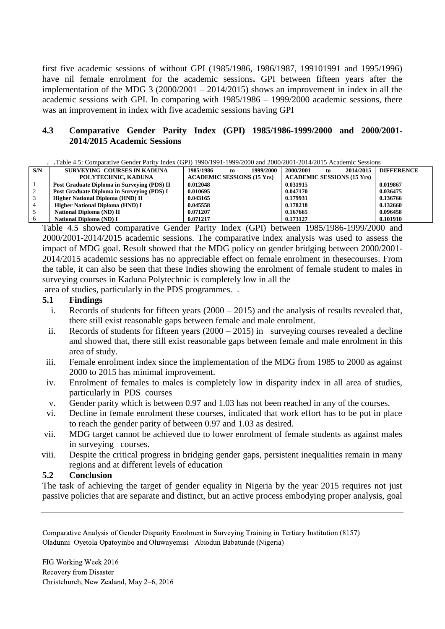first five academic sessions of without GPI (1985/1986, 1986/1987, 199101991 and 1995/1996) have nil female enrolment for the academic sessions**.** GPI between fifteen years after the implementation of the MDG 3 (2000/2001 – 2014/2015) shows an improvement in index in all the academic sessions with GPI. In comparing with 1985/1986 – 1999/2000 academic sessions, there was an improvement in index with five academic sessions having GPI

## **4.3 Comparative Gender Parity Index (GPI) 1985/1986-1999/2000 and 2000/2001- 2014/2015 Academic Sessions**

| . Table 4.5: Comparative Gender Parity Index (GPI) 1990/1991-1999/2000 and 2000/2001-2014/2015 Academic Sessions |  |
|------------------------------------------------------------------------------------------------------------------|--|
|------------------------------------------------------------------------------------------------------------------|--|

| S/N | SURVEYING COURSES IN KADUNA                 | 1999/2000<br>1985/1986<br>to      | 2000/2001<br>2014/2015<br>to      | <b>DIFFERENCE</b> |
|-----|---------------------------------------------|-----------------------------------|-----------------------------------|-------------------|
|     | POLYTECHNIC, KADUNA                         | <b>ACADEMIC SESSIONS (15 Yrs)</b> | <b>ACADEMIC SESSIONS (15 Yrs)</b> |                   |
|     | Post Graduate Diploma in Surveying (PDS) II | 0.012048                          | 0.031915                          | 0.019867          |
|     | Post Graduate Diploma in Surveying (PDS) I  | 0.010695                          | 0.047170                          | 0.036475          |
|     | Higher National Diploma (HND) II            | 0.043165                          | 0.179931                          | 0.136766          |
|     | <b>Higher National Diploma (HND) I</b>      | 0.045558                          | 0.178218                          | 0.132660          |
|     | <b>National Diploma (ND) II</b>             | 0.071207                          | 0.167665                          | 0.096458          |
|     | National Diploma (ND) I                     | 0.071217                          | 0.173127                          | 0.101910          |

Table 4.5 showed comparative Gender Parity Index (GPI) between 1985/1986-1999/2000 and 2000/2001-2014/2015 academic sessions. The comparative index analysis was used to assess the impact of MDG goal. Result showed that the MDG policy on gender bridging between 2000/2001- 2014/2015 academic sessions has no appreciable effect on female enrolment in thesecourses. From the table, it can also be seen that these Indies showing the enrolment of female student to males in surveying courses in Kaduna Polytechnic is completely low in all the

area of studies, particularly in the PDS programmes. .

### **5.1 Findings**

- i. Records of students for fifteen years (2000 2015) and the analysis of results revealed that, there still exist reasonable gaps between female and male enrolment.
- ii. Records of students for fifteen years (2000 2015) in surveying courses revealed a decline and showed that, there still exist reasonable gaps between female and male enrolment in this area of study.
- iii. Female enrolment index since the implementation of the MDG from 1985 to 2000 as against 2000 to 2015 has minimal improvement.
- iv. Enrolment of females to males is completely low in disparity index in all area of studies, particularly in PDS courses
- v. Gender parity which is between 0.97 and 1.03 has not been reached in any of the courses.
- vi. Decline in female enrolment these courses, indicated that work effort has to be put in place to reach the gender parity of between 0.97 and 1.03 as desired.
- vii. MDG target cannot be achieved due to lower enrolment of female students as against males in surveying courses.
- viii. Despite the critical progress in bridging gender gaps, persistent inequalities remain in many regions and at different levels of education

### **5.2 Conclusion**

The task of achieving the target of gender equality in Nigeria by the year 2015 requires not just passive policies that are separate and distinct, but an active process embodying proper analysis, goal

Comparative Analysis of Gender Disparity Enrolment in Surveying Training in Tertiary Institution (8157) Oladunni Oyetola Opatoyinbo and Oluwayemisi Abiodun Babatunde (Nigeria)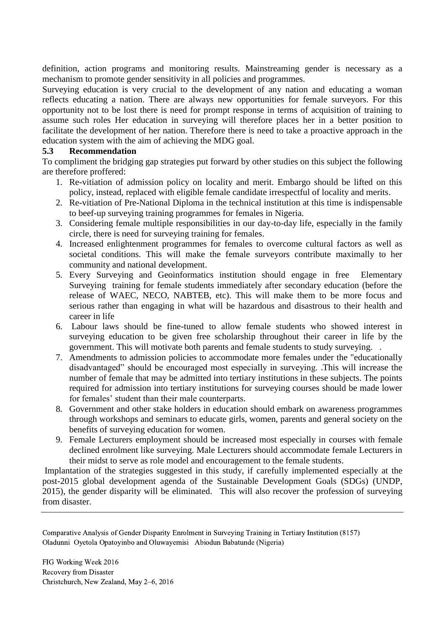definition, action programs and monitoring results. Mainstreaming gender is necessary as a mechanism to promote gender sensitivity in all policies and programmes.

Surveying education is very crucial to the development of any nation and educating a woman reflects educating a nation. There are always new opportunities for female surveyors. For this opportunity not to be lost there is need for prompt response in terms of acquisition of training to assume such roles Her education in surveying will therefore places her in a better position to facilitate the development of her nation. Therefore there is need to take a proactive approach in the education system with the aim of achieving the MDG goal.

#### **5.3 Recommendation**

To compliment the bridging gap strategies put forward by other studies on this subject the following are therefore proffered:

- 1. Re-vitiation of admission policy on locality and merit. Embargo should be lifted on this policy, instead, replaced with eligible female candidate irrespectful of locality and merits.
- 2. Re-vitiation of Pre-National Diploma in the technical institution at this time is indispensable to beef-up surveying training programmes for females in Nigeria.
- 3. Considering female multiple responsibilities in our day-to-day life, especially in the family circle, there is need for surveying training for females.
- 4. Increased enlightenment programmes for females to overcome cultural factors as well as societal conditions. This will make the female surveyors contribute maximally to her community and national development.
- 5. Every Surveying and Geoinformatics institution should engage in free Elementary Surveying training for female students immediately after secondary education (before the release of WAEC, NECO, NABTEB, etc). This will make them to be more focus and serious rather than engaging in what will be hazardous and disastrous to their health and career in life
- 6. Labour laws should be fine-tuned to allow female students who showed interest in surveying education to be given free scholarship throughout their career in life by the government. This will motivate both parents and female students to study surveying. .
- 7. Amendments to admission policies to accommodate more females under the "educationally disadvantaged" should be encouraged most especially in surveying. **.**This will increase the number of female that may be admitted into tertiary institutions in these subjects. The points required for admission into tertiary institutions for surveying courses should be made lower for females' student than their male counterparts.
- 8. Government and other stake holders in education should embark on awareness programmes through workshops and seminars to educate girls, women, parents and general society on the benefits of surveying education for women.
- 9. Female Lecturers employment should be increased most especially in courses with female declined enrolment like surveying. Male Lecturers should accommodate female Lecturers in their midst to serve as role model and encouragement to the female students.

Implantation of the strategies suggested in this study, if carefully implemented especially at the post-2015 global development agenda of the Sustainable Development Goals (SDGs) (UNDP, 2015), the gender disparity will be eliminated. This will also recover the profession of surveying from disaster.

Comparative Analysis of Gender Disparity Enrolment in Surveying Training in Tertiary Institution (8157) Oladunni Oyetola Opatoyinbo and Oluwayemisi Abiodun Babatunde (Nigeria)